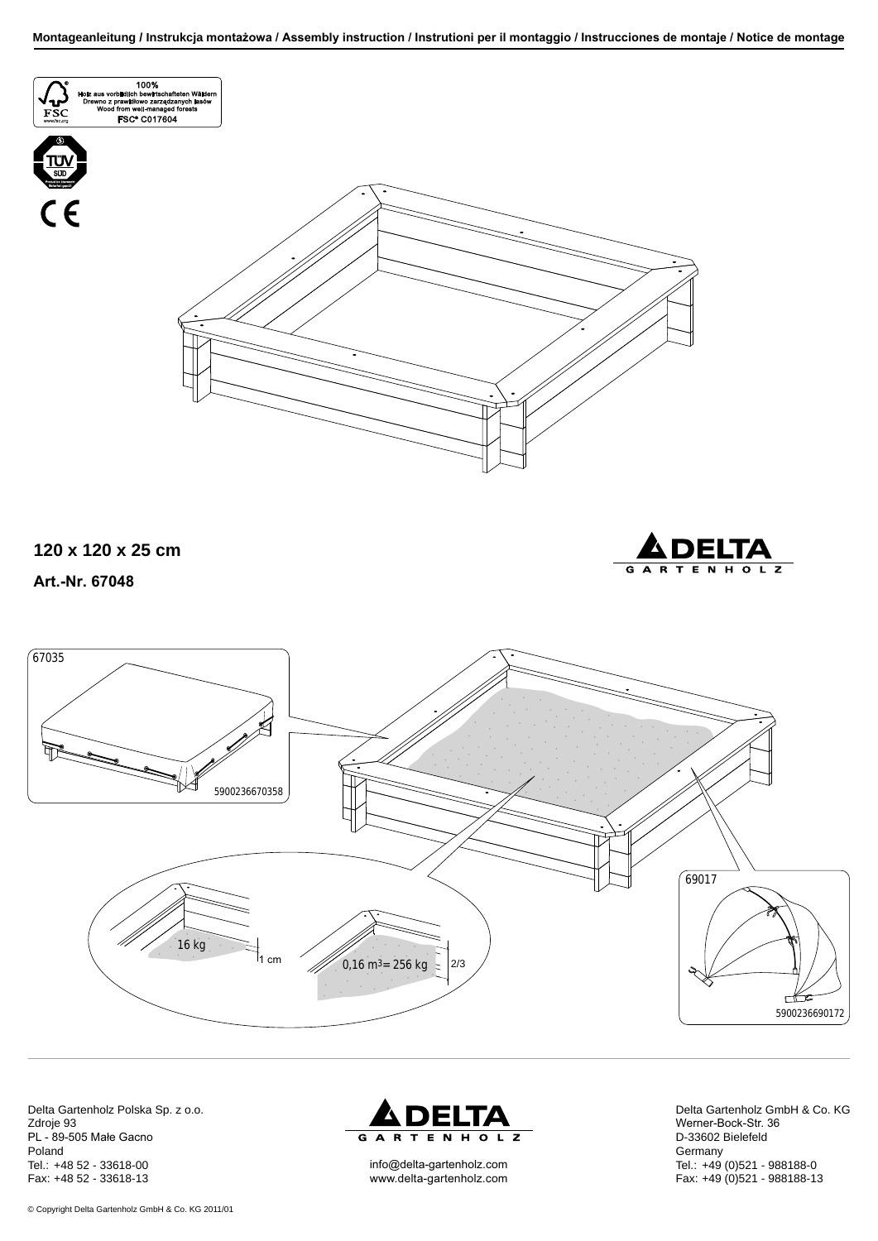

Delta Gartenholz Polska Sp. z o.o. Zdroje 93 PL - 89-505 Małe Gacno Poland Tel.: +48 52 - 33618-00 Fax: +48 52 - 33618-13



info@delta-gartenholz.com www.delta-gartenholz.com Delta Gartenholz GmbH & Co. KG Werner-Bock-Str. 36 D-33602 Bielefeld **Germany** Tel.: +49 (0)521 - 988188-0 Fax: +49 (0)521 - 988188-13

© Copyright Delta Gartenholz GmbH & Co. KG 2011/01